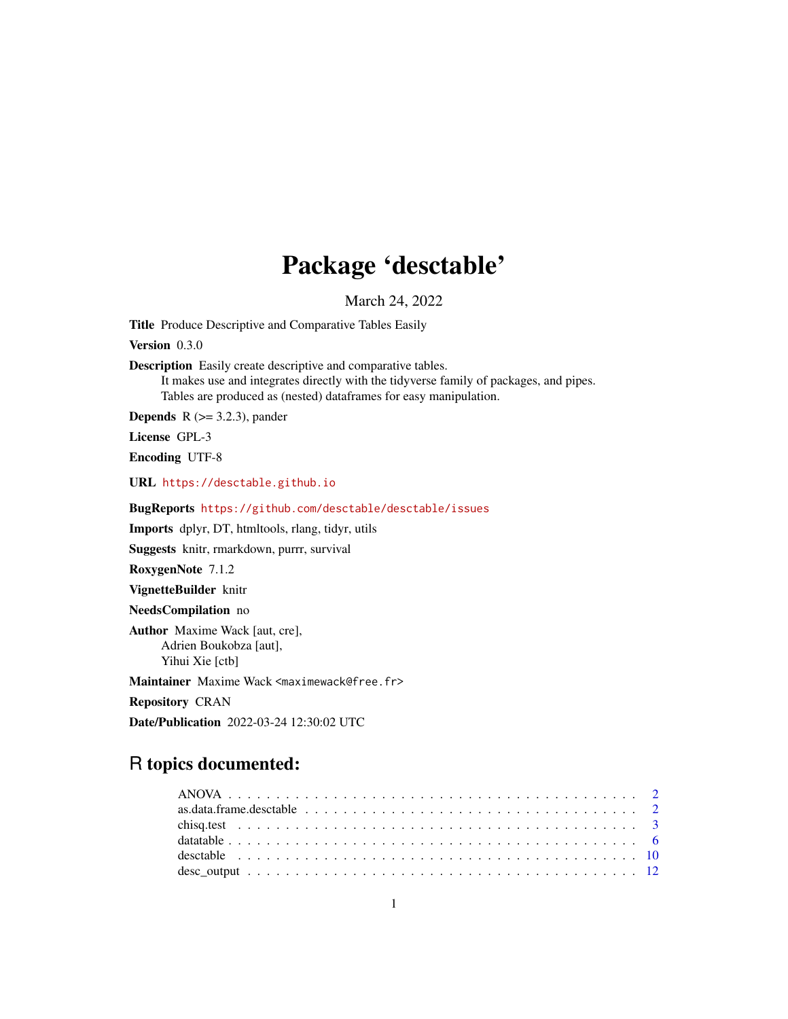# Package 'desctable'

March 24, 2022

<span id="page-0-0"></span>Title Produce Descriptive and Comparative Tables Easily

Version 0.3.0

Description Easily create descriptive and comparative tables.

It makes use and integrates directly with the tidyverse family of packages, and pipes. Tables are produced as (nested) dataframes for easy manipulation.

**Depends** R  $(>= 3.2.3)$ , pander

License GPL-3

Encoding UTF-8

URL <https://desctable.github.io>

BugReports <https://github.com/desctable/desctable/issues>

Imports dplyr, DT, htmltools, rlang, tidyr, utils

Suggests knitr, rmarkdown, purrr, survival

RoxygenNote 7.1.2

VignetteBuilder knitr

NeedsCompilation no

Author Maxime Wack [aut, cre], Adrien Boukobza [aut], Yihui Xie [ctb]

Maintainer Maxime Wack <maximewack@free.fr>

Repository CRAN

Date/Publication 2022-03-24 12:30:02 UTC

# R topics documented: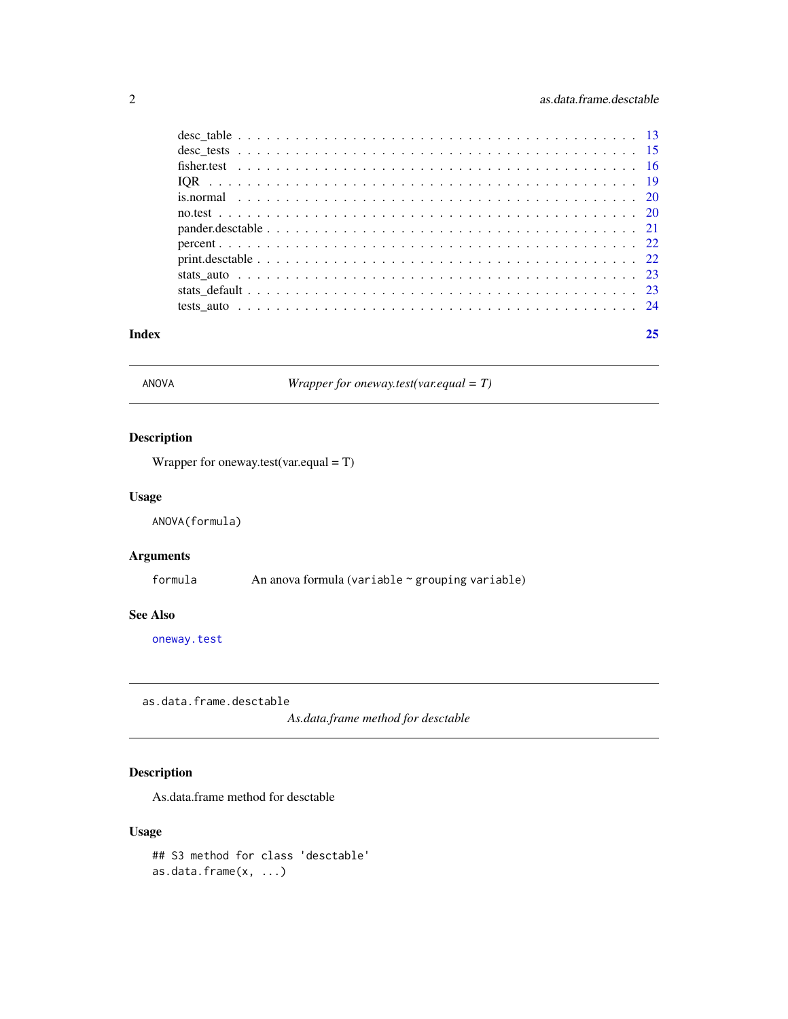<span id="page-1-0"></span>

| Index | 25 |
|-------|----|
|       |    |
|       |    |
|       |    |
|       |    |
|       |    |
|       |    |
|       |    |
|       |    |
|       |    |
|       |    |
|       |    |
|       |    |

<span id="page-1-1"></span>ANOVA *Wrapper for oneway.test(var.equal = T)*

# Description

Wrapper for oneway.test(var.equal = T)

# Usage

ANOVA(formula)

# Arguments

formula An anova formula (variable ~ grouping variable)

#### See Also

[oneway.test](#page-0-0)

as.data.frame.desctable

*As.data.frame method for desctable*

# Description

As.data.frame method for desctable

# Usage

## S3 method for class 'desctable' as.data.frame(x, ...)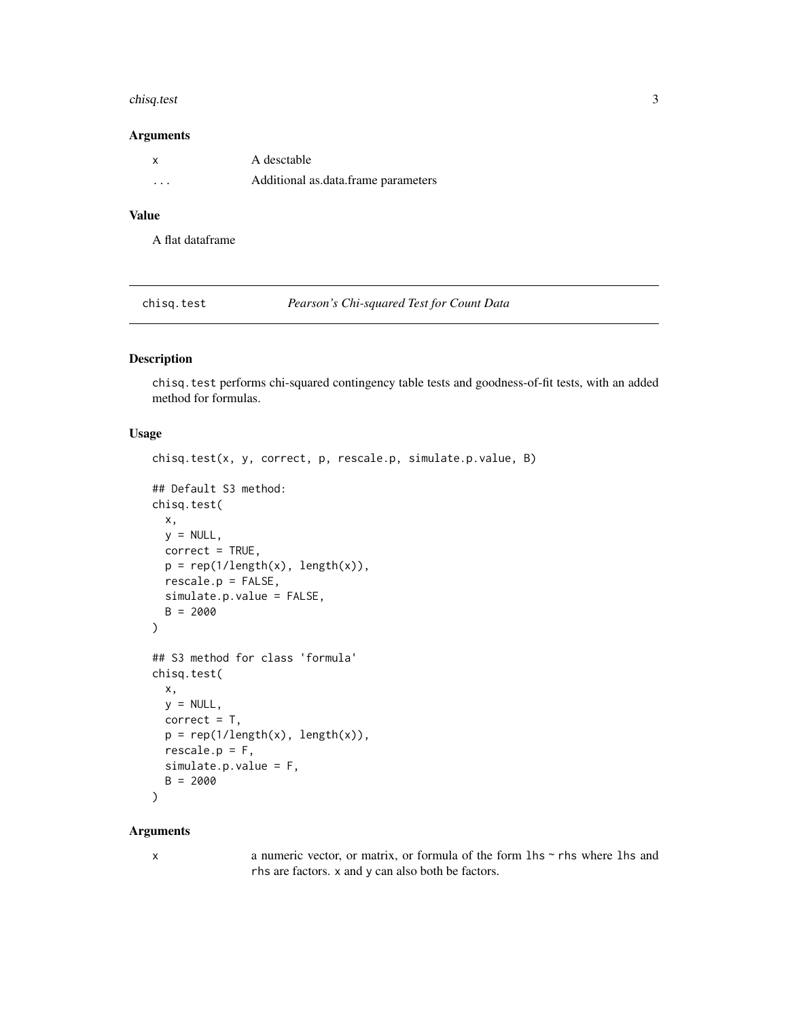#### <span id="page-2-0"></span>chisq.test 3

#### Arguments

| $\mathsf{X}$ | A desctable                         |
|--------------|-------------------------------------|
| $\cdots$     | Additional as data frame parameters |

# Value

A flat dataframe

<span id="page-2-1"></span>chisq.test *Pearson's Chi-squared Test for Count Data*

#### Description

chisq.test performs chi-squared contingency table tests and goodness-of-fit tests, with an added method for formulas.

# Usage

```
chisq.test(x, y, correct, p, rescale.p, simulate.p.value, B)
## Default S3 method:
chisq.test(
 x,
 y = NULL,correct = TRUE,p = rep(1/length(x), length(x)),rescale.p = FALSE,
 simulate.p.value = FALSE,
 B = 2000)
## S3 method for class 'formula'
chisq.test(
 x,
 y = NULL,correct = T,
 p = rep(1/length(x), length(x)),rescale.p = F,
 simulate.p.value = F,
 B = 2000)
```
#### Arguments

|  | I<br>٦ |  |
|--|--------|--|
|  |        |  |

x a numeric vector, or matrix, or formula of the form lhs ~ rhs where lhs and rhs are factors. x and y can also both be factors.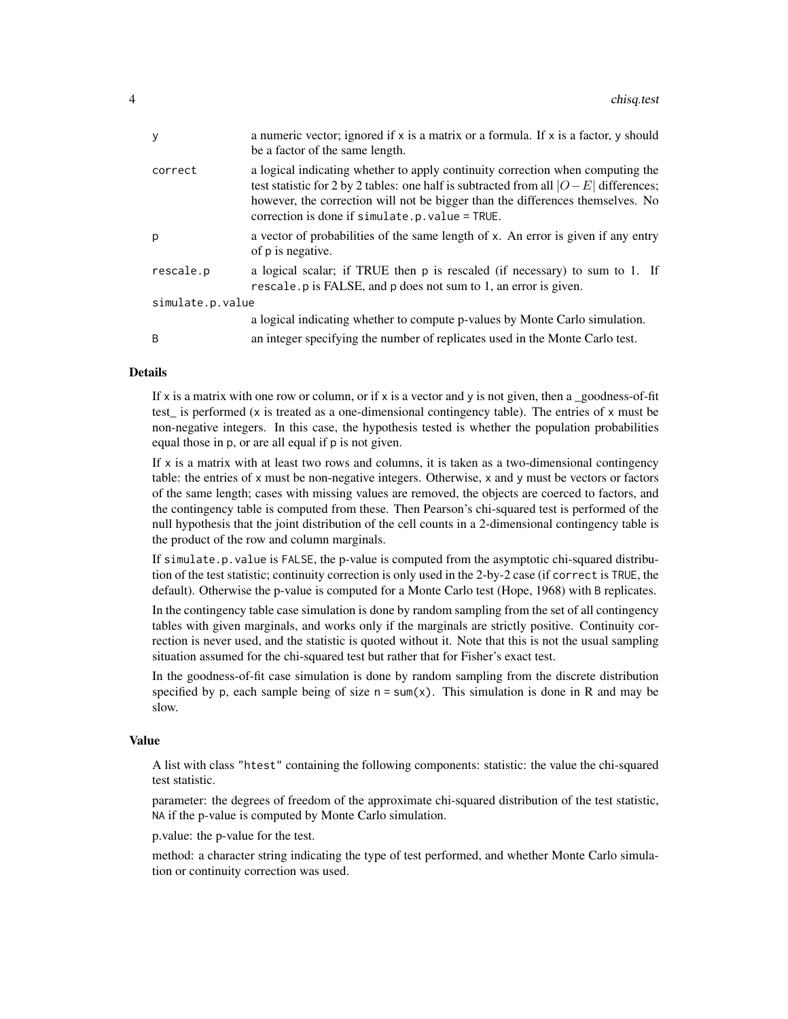| y                | a numeric vector; ignored if x is a matrix or a formula. If x is a factor, y should<br>be a factor of the same length.                                                                                                                                                                                       |  |
|------------------|--------------------------------------------------------------------------------------------------------------------------------------------------------------------------------------------------------------------------------------------------------------------------------------------------------------|--|
| correct          | a logical indicating whether to apply continuity correction when computing the<br>test statistic for 2 by 2 tables: one half is subtracted from all $ O-E $ differences;<br>however, the correction will not be bigger than the differences themselves. No<br>correction is done if simulate.p.value = TRUE. |  |
| p                | a vector of probabilities of the same length of x. An error is given if any entry<br>of p is negative.                                                                                                                                                                                                       |  |
| rescale.p        | a logical scalar; if TRUE then p is rescaled (if necessary) to sum to 1. If<br>rescale. p is FALSE, and p does not sum to 1, an error is given.                                                                                                                                                              |  |
| simulate.p.value |                                                                                                                                                                                                                                                                                                              |  |
|                  | a logical indicating whether to compute p-values by Monte Carlo simulation.                                                                                                                                                                                                                                  |  |
| B                | an integer specifying the number of replicates used in the Monte Carlo test.                                                                                                                                                                                                                                 |  |
|                  |                                                                                                                                                                                                                                                                                                              |  |

#### Details

If x is a matrix with one row or column, or if x is a vector and y is not given, then a \_goodness-of-fit test is performed (x is treated as a one-dimensional contingency table). The entries of x must be non-negative integers. In this case, the hypothesis tested is whether the population probabilities equal those in p, or are all equal if p is not given.

If  $x$  is a matrix with at least two rows and columns, it is taken as a two-dimensional contingency table: the entries of x must be non-negative integers. Otherwise, x and y must be vectors or factors of the same length; cases with missing values are removed, the objects are coerced to factors, and the contingency table is computed from these. Then Pearson's chi-squared test is performed of the null hypothesis that the joint distribution of the cell counts in a 2-dimensional contingency table is the product of the row and column marginals.

If simulate.p.value is FALSE, the p-value is computed from the asymptotic chi-squared distribution of the test statistic; continuity correction is only used in the 2-by-2 case (if correct is TRUE, the default). Otherwise the p-value is computed for a Monte Carlo test (Hope, 1968) with B replicates.

In the contingency table case simulation is done by random sampling from the set of all contingency tables with given marginals, and works only if the marginals are strictly positive. Continuity correction is never used, and the statistic is quoted without it. Note that this is not the usual sampling situation assumed for the chi-squared test but rather that for Fisher's exact test.

In the goodness-of-fit case simulation is done by random sampling from the discrete distribution specified by p, each sample being of size  $n = sum(x)$ . This simulation is done in R and may be slow.

#### Value

A list with class "htest" containing the following components: statistic: the value the chi-squared test statistic.

parameter: the degrees of freedom of the approximate chi-squared distribution of the test statistic, NA if the p-value is computed by Monte Carlo simulation.

p.value: the p-value for the test.

method: a character string indicating the type of test performed, and whether Monte Carlo simulation or continuity correction was used.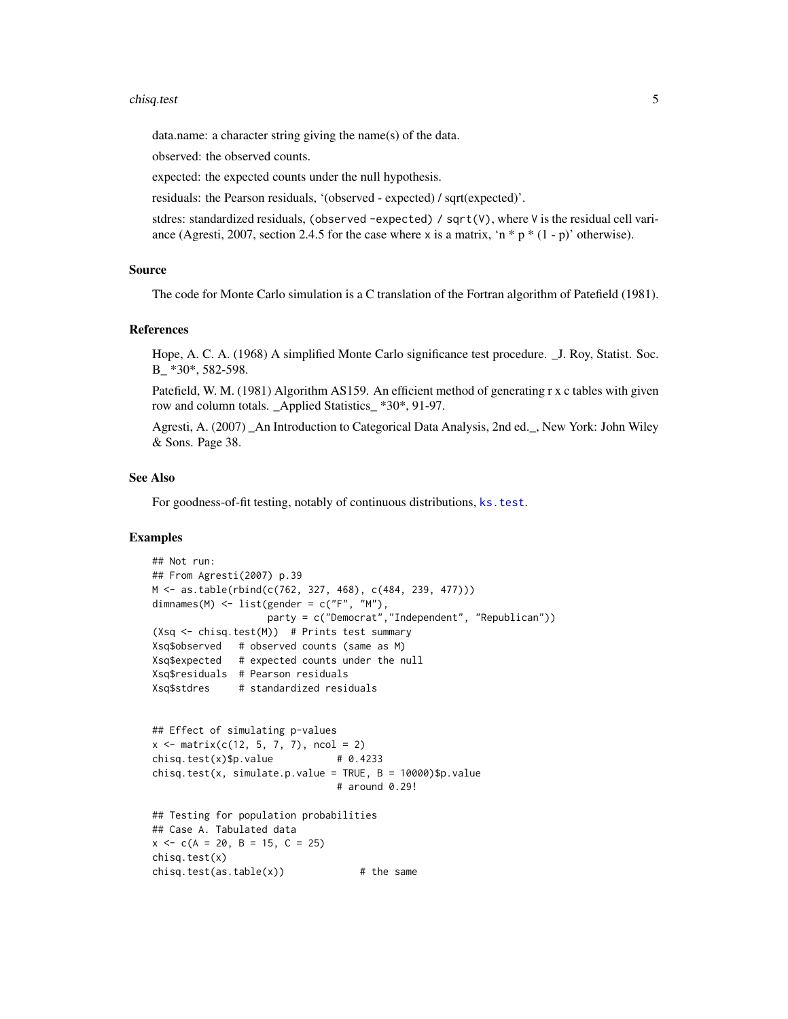#### <span id="page-4-0"></span>chisq.test 5

data.name: a character string giving the name(s) of the data.

observed: the observed counts.

expected: the expected counts under the null hypothesis.

residuals: the Pearson residuals, '(observed - expected) / sqrt(expected)'.

stdres: standardized residuals, (observed -expected) / sqrt(V), where V is the residual cell variance (Agresti, 2007, section 2.4.5 for the case where x is a matrix, 'n  $*$  p  $*$  (1 - p)' otherwise).

#### Source

The code for Monte Carlo simulation is a C translation of the Fortran algorithm of Patefield (1981).

#### References

Hope, A. C. A. (1968) A simplified Monte Carlo significance test procedure. \_J. Roy, Statist. Soc. B \*30\*, 582-598.

Patefield, W. M. (1981) Algorithm AS159. An efficient method of generating r x c tables with given row and column totals. \_Applied Statistics\_ \*30\*, 91-97.

Agresti, A. (2007) \_An Introduction to Categorical Data Analysis, 2nd ed.\_, New York: John Wiley & Sons. Page 38.

#### See Also

For goodness-of-fit testing, notably of continuous distributions, [ks.test](#page-0-0).

```
## Not run:
## From Agresti(2007) p.39
M <- as.table(rbind(c(762, 327, 468), c(484, 239, 477)))
dimnames(M) \leq - list(gender = c("F", "M"),
                   party = c("Democrat","Independent", "Republican"))
(Xsq <- chisq.test(M)) # Prints test summary
Xsq$observed # observed counts (same as M)
Xsq$expected # expected counts under the null
Xsq$residuals # Pearson residuals
Xsq$stdres # standardized residuals
## Effect of simulating p-values
x \le - matrix(c(12, 5, 7, 7), ncol = 2)
chisq.test(x)$p.value \# 0.4233chisq.test(x, simulate.p.value = TRUE, B = 10000)$p.value
                              # around 0.29!
## Testing for population probabilities
## Case A. Tabulated data
x \leq -c(A = 20, B = 15, C = 25)chisq.test(x)
chisq.test(as.table(x)) # the same
```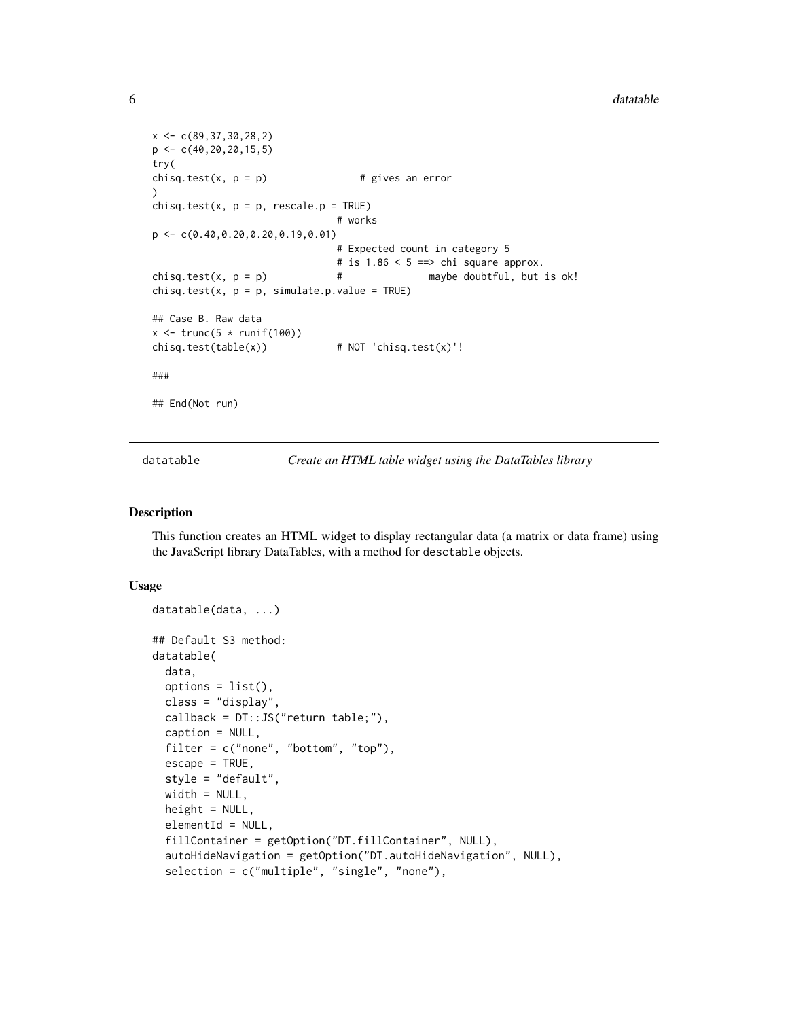#### $\epsilon$  data ble data ble data ble data ble data ble data ble data ble data ble data ble data ble data ble data ble data ble data ble data ble data ble data ble data ble data ble data ble data ble data ble data ble data ble

```
x \leftarrow c(89, 37, 30, 28, 2)p \leftarrow c(40, 20, 20, 15, 5)try(
chisq.test(x, p = p) # gives an error
)
chisq.test(x, p = p, rescale.p = TRUE)# works
p <- c(0.40,0.20,0.20,0.19,0.01)
                                # Expected count in category 5
                                # is 1.86 < 5 == chi square approx.
chisq.test(x, p = p) \qquad \qquad # maybe doubtful, but is ok!
chisq.test(x, p = p, simulate.p.value = TRUE)
## Case B. Raw data
x \leftarrow \text{trunc}(5 * \text{runif}(100))chisq.test(table(x)) # NOT 'chisq.test(x)'!
###
## End(Not run)
```
<span id="page-5-2"></span>datatable *Create an HTML table widget using the DataTables library*

#### <span id="page-5-1"></span>Description

This function creates an HTML widget to display rectangular data (a matrix or data frame) using the JavaScript library DataTables, with a method for desctable objects.

#### Usage

```
datatable(data, ...)
## Default S3 method:
datatable(
  data,
  options = list(),class = "display",
 callback = DT::JS("return table;"),
  caption = NULL,
  filter = c("none", "bottom", "top"),
  \text{escape} = \text{TRUE},
  style = "default",
 width = NULL,height = NULL,elementId = NULL,fillContainer = getOption("DT.fillContainer", NULL),
  autoHideNavigation = getOption("DT.autoHideNavigation", NULL),
  selection = c("multiple", "single", "none"),
```
<span id="page-5-0"></span>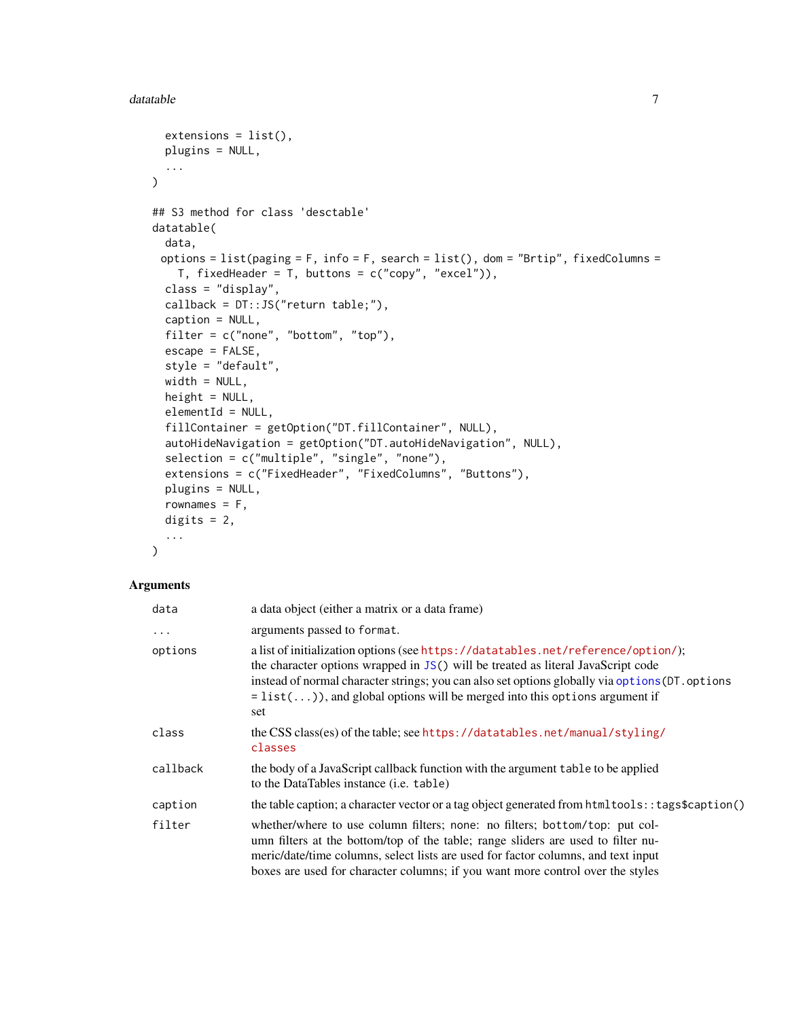#### <span id="page-6-0"></span>datatable 7 and 3 and 3 and 3 and 3 and 3 and 3 and 3 and 3 and 3 and 3 and 3 and 3 and 3 and 3 and 3 and 3 and 3 and 3 and 3 and 3 and 3 and 3 and 3 and 3 and 3 and 3 and 3 and 3 and 3 and 3 and 3 and 3 and 3 and 3 and 3

```
extensions = list(),
 plugins = NULL,
  ...
\lambda## S3 method for class 'desctable'
datatable(
 data,
 options = list(paging = F, info = F, search = list(), dom = "Brtip", fixedColumns =
    T, fixedHeader = T, buttons = c("copy", "excel")),
  class = "display",
  callback = DT::JS("return table;"),
  caption = NULL,
  filter = c("none", "bottom", "top"),
  escape = FALSE,
  style = "default",
 width = NULL,
 height = NULL,elementId = NULL,fillContainer = getOption("DT.fillContainer", NULL),
  autoHideNavigation = getOption("DT.autoHideNavigation", NULL),
  selection = c("multiple", "single", "none"),
  extensions = c("FixedHeader", "FixedColumns", "Buttons"),
  plugins = NULL,
  rownames = F,
  digits = 2,
  ...
\mathcal{E}
```
### Arguments

| data     | a data object (either a matrix or a data frame)                                                                                                                                                                                                                                                                                                                |
|----------|----------------------------------------------------------------------------------------------------------------------------------------------------------------------------------------------------------------------------------------------------------------------------------------------------------------------------------------------------------------|
| .        | arguments passed to format.                                                                                                                                                                                                                                                                                                                                    |
| options  | a list of initialization options (see https://datatables.net/reference/option/);<br>the character options wrapped in JS() will be treated as literal JavaScript code<br>instead of normal character strings; you can also set options globally via options (DT. options<br>$=$ list()), and global options will be merged into this options argument if<br>set |
| class    | the CSS class(es) of the table; see https://datatables.net/manual/styling/<br>classes                                                                                                                                                                                                                                                                          |
| callback | the body of a JavaScript callback function with the argument table to be applied<br>to the DataTables instance (i.e. table)                                                                                                                                                                                                                                    |
| caption  | the table caption; a character vector or a tag object generated from html tools: : tags\$caption()                                                                                                                                                                                                                                                             |
| filter   | whether/where to use column filters; none: no filters; bottom/top: put col-<br>umn filters at the bottom/top of the table; range sliders are used to filter nu-<br>meric/date/time columns, select lists are used for factor columns, and text input<br>boxes are used for character columns; if you want more control over the styles                         |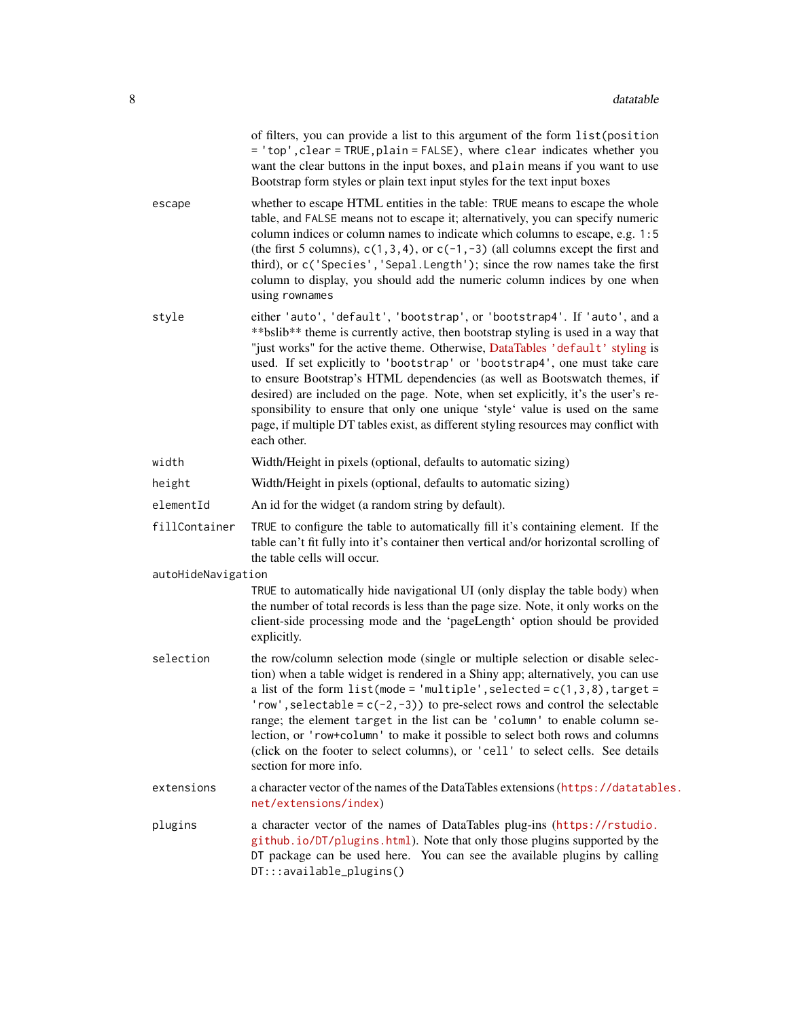|                    | of filters, you can provide a list to this argument of the form list (position<br>= 'top', clear = TRUE, plain = FALSE), where clear indicates whether you<br>want the clear buttons in the input boxes, and plain means if you want to use<br>Bootstrap form styles or plain text input styles for the text input boxes                                                                                                                                                                                                                                                                                                                                                               |
|--------------------|----------------------------------------------------------------------------------------------------------------------------------------------------------------------------------------------------------------------------------------------------------------------------------------------------------------------------------------------------------------------------------------------------------------------------------------------------------------------------------------------------------------------------------------------------------------------------------------------------------------------------------------------------------------------------------------|
| escape             | whether to escape HTML entities in the table: TRUE means to escape the whole<br>table, and FALSE means not to escape it; alternatively, you can specify numeric<br>column indices or column names to indicate which columns to escape, e.g. 1:5<br>(the first 5 columns), $c(1,3,4)$ , or $c(-1,-3)$ (all columns except the first and<br>third), or c('Species', 'Sepal.Length'); since the row names take the first<br>column to display, you should add the numeric column indices by one when<br>using rownames                                                                                                                                                                    |
| style              | either 'auto', 'default', 'bootstrap', or 'bootstrap4'. If 'auto', and a<br>** bslib** theme is currently active, then bootstrap styling is used in a way that<br>"just works" for the active theme. Otherwise, DataTables 'default' styling is<br>used. If set explicitly to 'bootstrap' or 'bootstrap4', one must take care<br>to ensure Bootstrap's HTML dependencies (as well as Bootswatch themes, if<br>desired) are included on the page. Note, when set explicitly, it's the user's re-<br>sponsibility to ensure that only one unique 'style' value is used on the same<br>page, if multiple DT tables exist, as different styling resources may conflict with<br>each other. |
| width              | Width/Height in pixels (optional, defaults to automatic sizing)                                                                                                                                                                                                                                                                                                                                                                                                                                                                                                                                                                                                                        |
| height             | Width/Height in pixels (optional, defaults to automatic sizing)                                                                                                                                                                                                                                                                                                                                                                                                                                                                                                                                                                                                                        |
| elementId          | An id for the widget (a random string by default).                                                                                                                                                                                                                                                                                                                                                                                                                                                                                                                                                                                                                                     |
| fillContainer      | TRUE to configure the table to automatically fill it's containing element. If the<br>table can't fit fully into it's container then vertical and/or horizontal scrolling of<br>the table cells will occur.                                                                                                                                                                                                                                                                                                                                                                                                                                                                             |
| autoHideNavigation |                                                                                                                                                                                                                                                                                                                                                                                                                                                                                                                                                                                                                                                                                        |
|                    | TRUE to automatically hide navigational UI (only display the table body) when<br>the number of total records is less than the page size. Note, it only works on the<br>client-side processing mode and the 'pageLength' option should be provided<br>explicitly.                                                                                                                                                                                                                                                                                                                                                                                                                       |
| selection          | the row/column selection mode (single or multiple selection or disable selec-<br>tion) when a table widget is rendered in a Shiny app; alternatively, you can use<br>a list of the form $list$ (mode = 'multiple', selected = $c(1,3,8)$ , target =<br>'row', selectable = $c(-2, -3)$ ) to pre-select rows and control the selectable<br>range; the element target in the list can be 'column' to enable column se-<br>lection, or 'row+column' to make it possible to select both rows and columns<br>(click on the footer to select columns), or 'cell' to select cells. See details<br>section for more info.                                                                      |
| extensions         | a character vector of the names of the DataTables extensions (https://datatables.<br>net/extensions/index)                                                                                                                                                                                                                                                                                                                                                                                                                                                                                                                                                                             |
| plugins            | a character vector of the names of DataTables plug-ins (https://rstudio.<br>github.io/DT/plugins.html). Note that only those plugins supported by the<br>DT package can be used here. You can see the available plugins by calling<br>DT:::available_plugins()                                                                                                                                                                                                                                                                                                                                                                                                                         |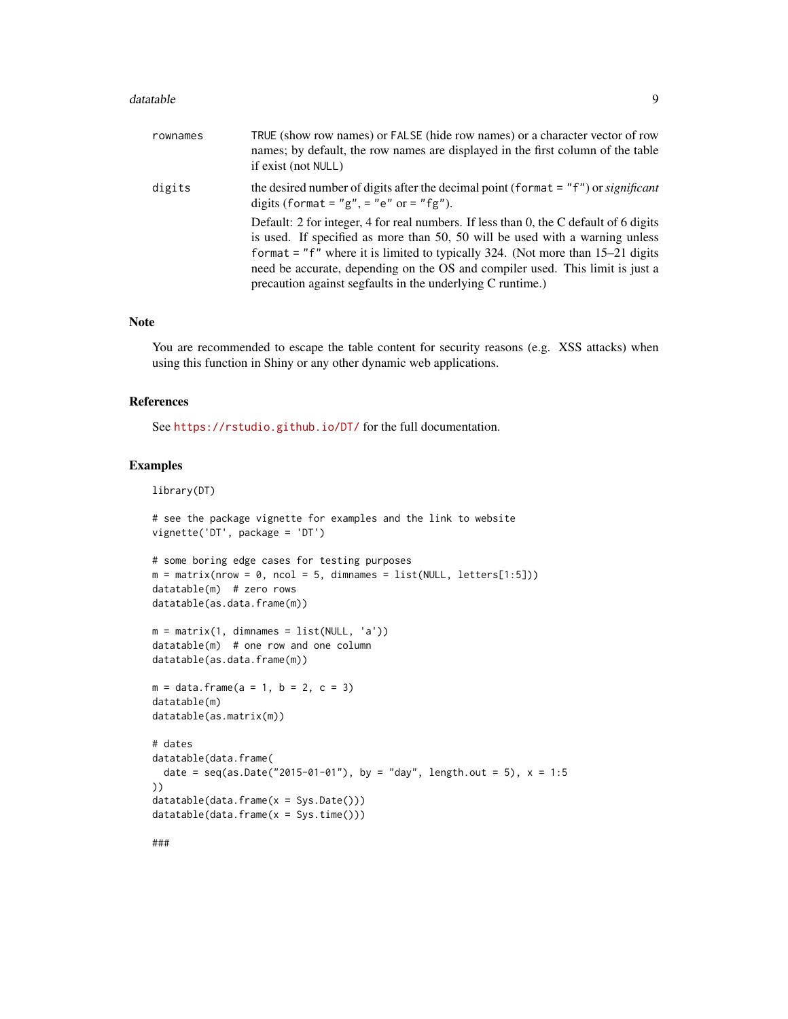#### datatable 9

| rownames | TRUE (show row names) or FALSE (hide row names) or a character vector of row<br>names; by default, the row names are displayed in the first column of the table<br>if exist (not NULL)                                                                                                                                                                                                                     |
|----------|------------------------------------------------------------------------------------------------------------------------------------------------------------------------------------------------------------------------------------------------------------------------------------------------------------------------------------------------------------------------------------------------------------|
| digits   | the desired number of digits after the decimal point (format $=$ "f") or <i>significant</i><br>digits (format = " $g$ ", = " $e$ " or = " $fg$ ").                                                                                                                                                                                                                                                         |
|          | Default: 2 for integer, 4 for real numbers. If less than 0, the C default of 6 digits<br>is used. If specified as more than 50, 50 will be used with a warning unless<br>format = " $f''$ where it is limited to typically 324. (Not more than 15–21 digits<br>need be accurate, depending on the OS and compiler used. This limit is just a<br>precaution against segfaults in the underlying C runtime.) |

#### Note

You are recommended to escape the table content for security reasons (e.g. XSS attacks) when using this function in Shiny or any other dynamic web applications.

#### References

See <https://rstudio.github.io/DT/> for the full documentation.

# Examples

library(DT)

```
# see the package vignette for examples and the link to website
vignette('DT', package = 'DT')
# some boring edge cases for testing purposes
m = matrix(nrow = 0, ncol = 5, dimnames = list(NULL, letters[1:5]))datatable(m) # zero rows
datatable(as.data.frame(m))
m = matrix(1, dimnames = list(NULL, 'a'))datatable(m) # one row and one column
datatable(as.data.frame(m))
m = data. frame(a = 1, b = 2, c = 3)
datatable(m)
datatable(as.matrix(m))
# dates
datatable(data.frame(
  date = seq(as.Date("2015-01-01"), by = "day", length.out = 5), x = 1:5))
datatable(data.frame(x = Sys.Date()))
datatable(data.frame(x = Sys.time()))
```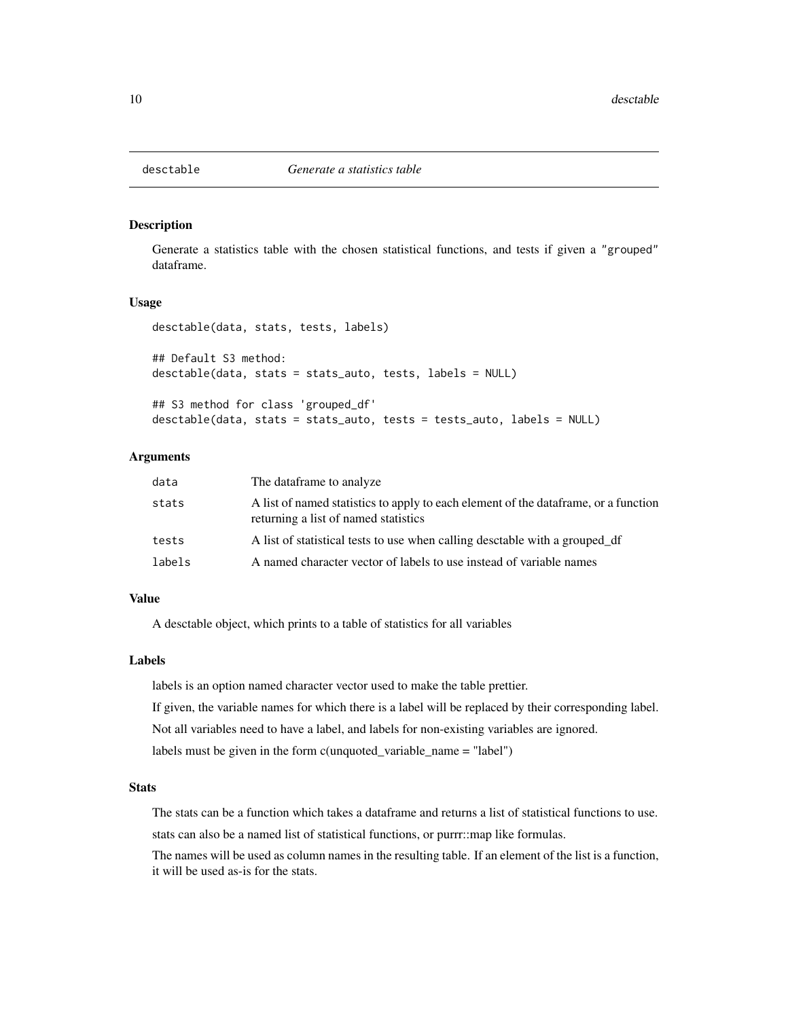<span id="page-9-0"></span>

Generate a statistics table with the chosen statistical functions, and tests if given a "grouped" dataframe.

#### Usage

```
desctable(data, stats, tests, labels)
## Default S3 method:
desctable(data, stats = stats_auto, tests, labels = NULL)
## S3 method for class 'grouped_df'
desctable(data, stats = stats_auto, tests = tests_auto, labels = NULL)
```
#### Arguments

| data   | The dataframe to analyze.                                                                                                    |
|--------|------------------------------------------------------------------------------------------------------------------------------|
| stats  | A list of named statistics to apply to each element of the data frame, or a function<br>returning a list of named statistics |
| tests  | A list of statistical tests to use when calling desctable with a grouped_df                                                  |
| labels | A named character vector of labels to use instead of variable names                                                          |

# Value

A desctable object, which prints to a table of statistics for all variables

#### Labels

labels is an option named character vector used to make the table prettier.

If given, the variable names for which there is a label will be replaced by their corresponding label.

Not all variables need to have a label, and labels for non-existing variables are ignored.

labels must be given in the form c(unquoted\_variable\_name = "label")

#### **Stats**

The stats can be a function which takes a dataframe and returns a list of statistical functions to use.

stats can also be a named list of statistical functions, or purrr::map like formulas.

The names will be used as column names in the resulting table. If an element of the list is a function, it will be used as-is for the stats.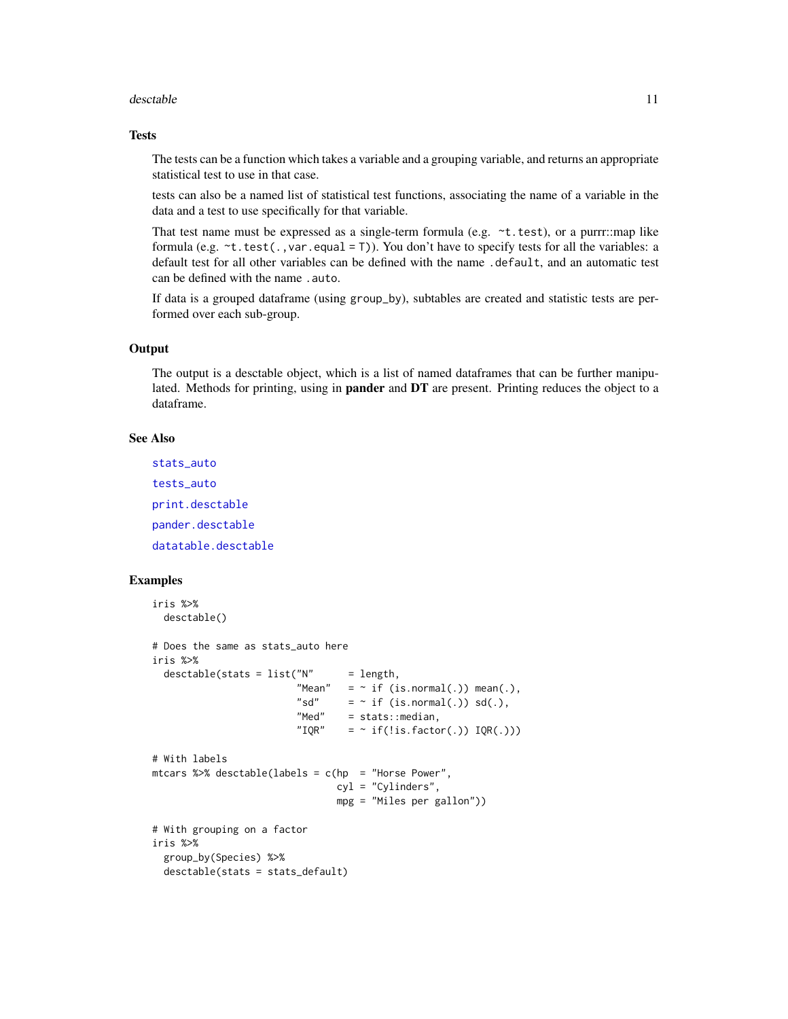#### <span id="page-10-0"></span>desctable the contract of the contract of the contract of the contract of the contract of the contract of the contract of the contract of the contract of the contract of the contract of the contract of the contract of the

#### **Tests**

The tests can be a function which takes a variable and a grouping variable, and returns an appropriate statistical test to use in that case.

tests can also be a named list of statistical test functions, associating the name of a variable in the data and a test to use specifically for that variable.

That test name must be expressed as a single-term formula (e.g. ~t.test), or a purrr::map like formula (e.g.  $\sim t.$  test(., var.equal = T)). You don't have to specify tests for all the variables: a default test for all other variables can be defined with the name .default, and an automatic test can be defined with the name .auto.

If data is a grouped dataframe (using group\_by), subtables are created and statistic tests are performed over each sub-group.

#### **Output**

The output is a desctable object, which is a list of named dataframes that can be further manipulated. Methods for printing, using in pander and DT are present. Printing reduces the object to a dataframe.

#### See Also

[stats\\_auto](#page-22-1) [tests\\_auto](#page-23-1) [print.desctable](#page-21-1) [pander.desctable](#page-20-1) [datatable.desctable](#page-5-1)

```
iris %>%
 desctable()
# Does the same as stats_auto here
iris %>%
 desctable(stats = list("N" = length,"Mean" = \sim if (is.normal(.)) mean(.),
                         "sd" = \sim if (is.normal(.)) sd(.),
                        "Med" = stats::median,
                         "IQR" = \sim if(!is.factor(.)) IQR(.)))
# With labels
mtcars %>% desctable(labels = c(hp = "Horse Power",
                               cyl = "Cylinders",
                               mpg = "Miles per gallon"))
# With grouping on a factor
iris %>%
 group_by(Species) %>%
 desctable(stats = stats_default)
```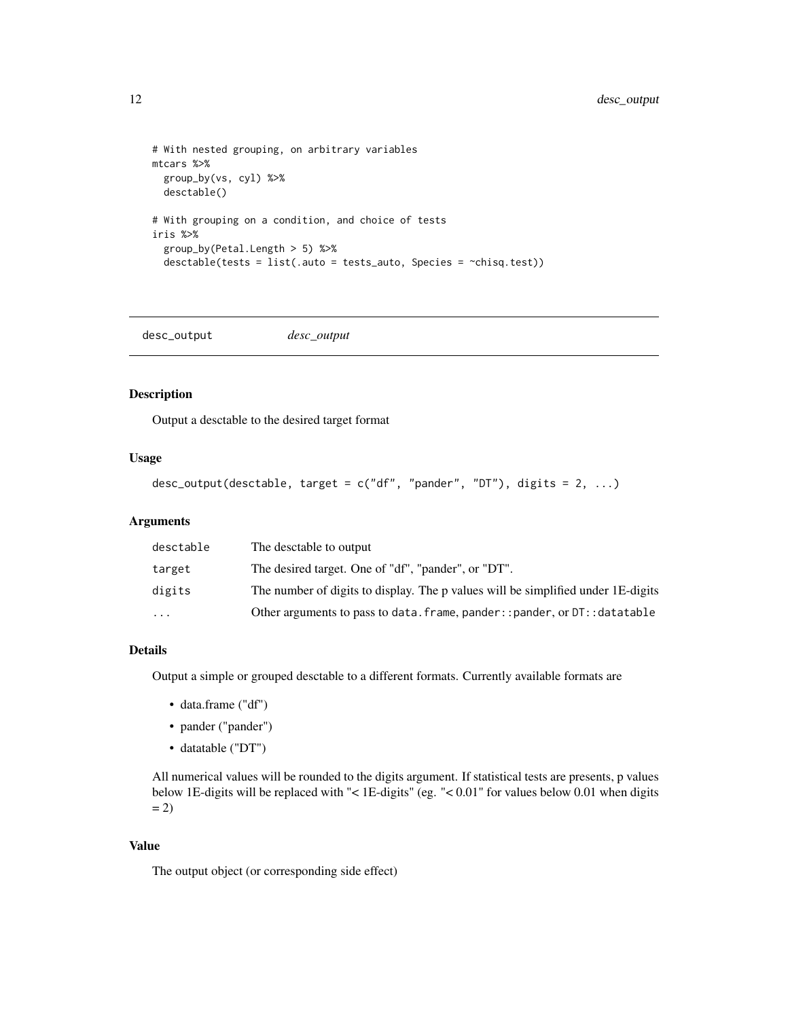```
# With nested grouping, on arbitrary variables
mtcars %>%
  group_by(vs, cyl) %>%
  desctable()
# With grouping on a condition, and choice of tests
iris %>%
  group_by(Petal.Length > 5) %>%
  desctable(tests = list(.auto = tests_auto, Species = ~chisq.test))
```
<span id="page-11-1"></span>desc\_output *desc\_output*

#### Description

Output a desctable to the desired target format

#### Usage

```
desc_output(desctable, target = c("df", "pander", "DT"), digits = 2, ...)
```
#### Arguments

| desctable | The desctable to output                                                          |
|-----------|----------------------------------------------------------------------------------|
| target    | The desired target. One of "df", "pander", or "DT".                              |
| digits    | The number of digits to display. The p values will be simplified under 1E-digits |
| $\cdots$  | Other arguments to pass to data. frame, pander:: pander, or DT:: datatable       |

# Details

Output a simple or grouped desctable to a different formats. Currently available formats are

- data.frame ("df")
- pander ("pander")
- datatable ("DT")

All numerical values will be rounded to the digits argument. If statistical tests are presents, p values below 1E-digits will be replaced with "< 1E-digits" (eg. "< 0.01" for values below 0.01 when digits  $= 2)$ 

#### Value

The output object (or corresponding side effect)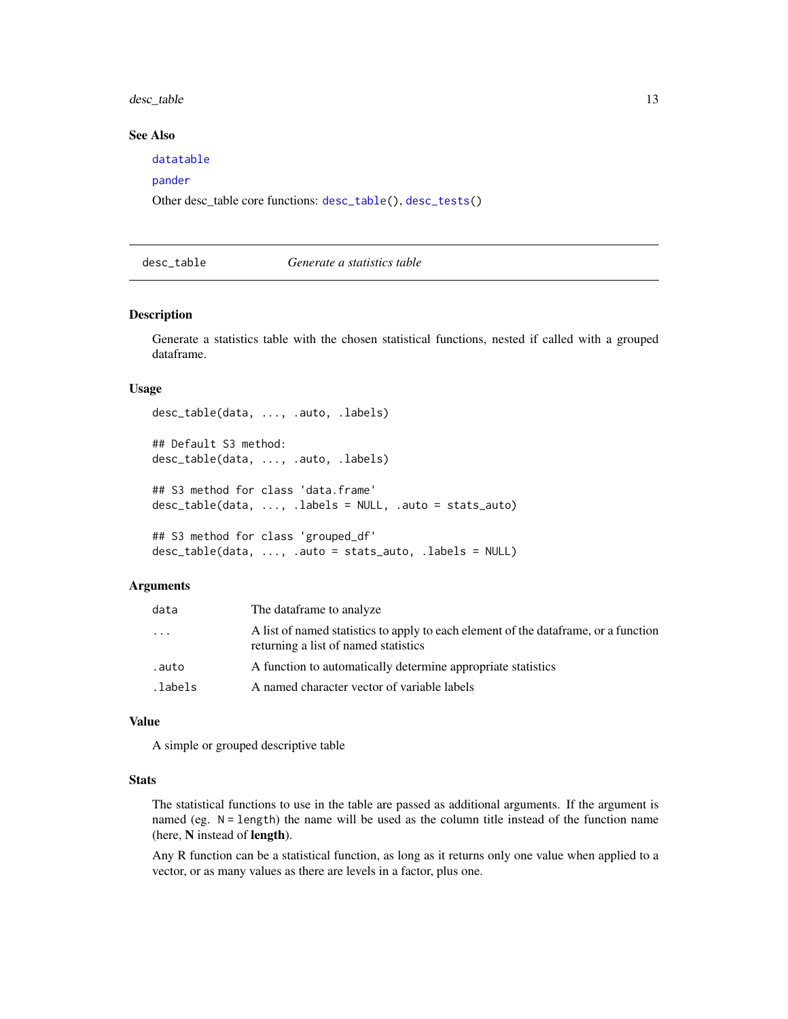# <span id="page-12-0"></span>desc\_table 13

# See Also

[datatable](#page-5-2)

# [pander](#page-0-0)

Other desc\_table core functions: [desc\\_table\(](#page-12-1)), [desc\\_tests\(](#page-14-1))

# <span id="page-12-1"></span>desc\_table *Generate a statistics table*

#### Description

Generate a statistics table with the chosen statistical functions, nested if called with a grouped dataframe.

# Usage

```
desc_table(data, ..., .auto, .labels)
## Default S3 method:
desc_table(data, ..., .auto, .labels)
## S3 method for class 'data.frame'
desc_table(data, ..., .labels = NULL, .auto = stats_auto)
## S3 method for class 'grouped_df'
desc_table(data, ..., .auto = stats_auto, .labels = NULL)
```
#### **Arguments**

| data     | The dataframe to analyze.                                                                                                    |
|----------|------------------------------------------------------------------------------------------------------------------------------|
| .        | A list of named statistics to apply to each element of the data frame, or a function<br>returning a list of named statistics |
| .auto    | A function to automatically determine appropriate statistics                                                                 |
| .labels. | A named character vector of variable labels                                                                                  |

### Value

A simple or grouped descriptive table

#### **Stats**

The statistical functions to use in the table are passed as additional arguments. If the argument is named (eg. N = length) the name will be used as the column title instead of the function name (here, N instead of length).

Any R function can be a statistical function, as long as it returns only one value when applied to a vector, or as many values as there are levels in a factor, plus one.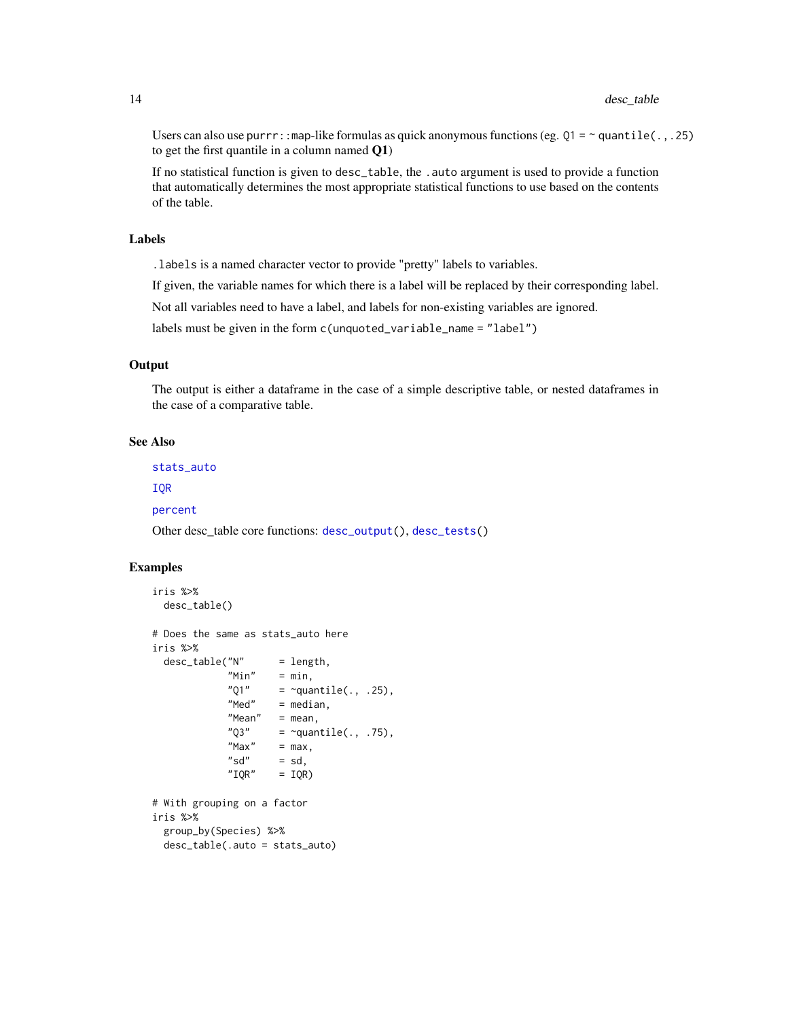Users can also use purrr:: map-like formulas as quick anonymous functions (eg.  $Q1 = \gamma$  quantile(.,.25) to get the first quantile in a column named Q1)

If no statistical function is given to desc\_table, the . auto argument is used to provide a function that automatically determines the most appropriate statistical functions to use based on the contents of the table.

# Labels

.labels is a named character vector to provide "pretty" labels to variables.

If given, the variable names for which there is a label will be replaced by their corresponding label.

Not all variables need to have a label, and labels for non-existing variables are ignored.

labels must be given in the form c(unquoted\_variable\_name = "label")

# **Output**

The output is either a dataframe in the case of a simple descriptive table, or nested dataframes in the case of a comparative table.

#### See Also

[stats\\_auto](#page-22-1)

[IQR](#page-18-1)

[percent](#page-21-2)

Other desc\_table core functions: [desc\\_output\(](#page-11-1)), [desc\\_tests\(](#page-14-1))

```
iris %>%
 desc_table()
# Does the same as stats_auto here
iris %>%
 desc_table("N" = length,"Min" = min,"Q1" = \simquantile(., .25),
            "Med" = median,
            "Mean" = mean,"Q3" = \simquantile(., .75),<br>"Max" = max.
                     = max,
            "sd" = sd,"IOR" = IOR)# With grouping on a factor
iris %>%
 group_by(Species) %>%
 desc_table(.auto = stats_auto)
```
<span id="page-13-0"></span>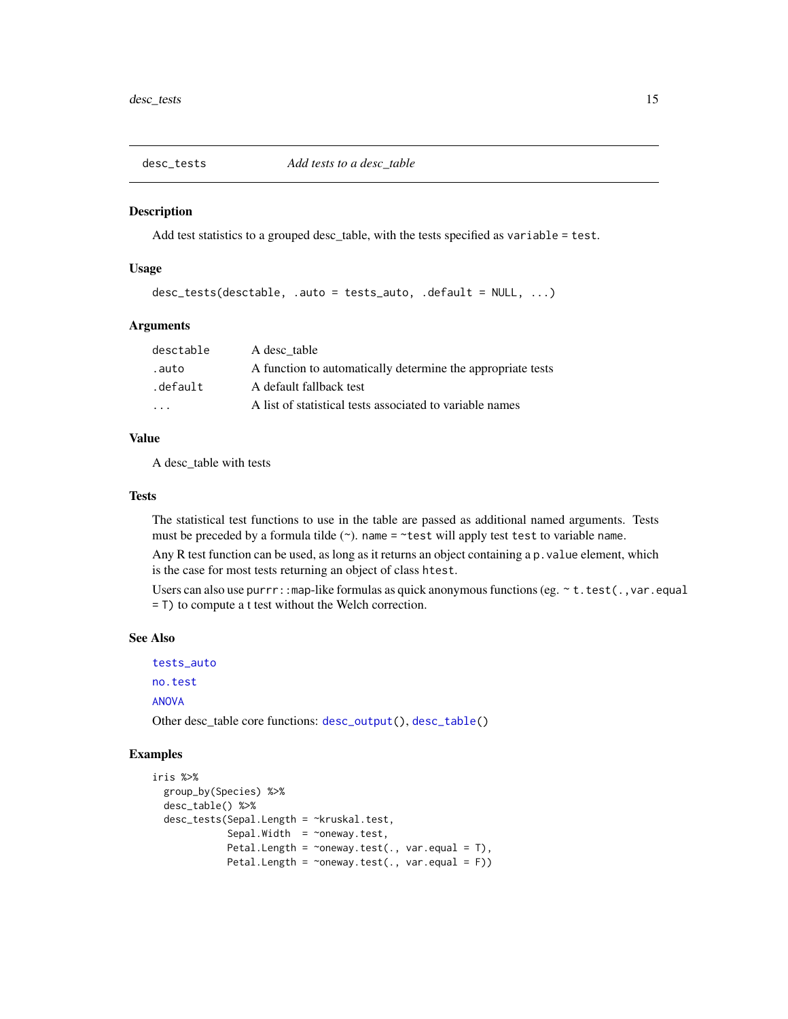<span id="page-14-1"></span><span id="page-14-0"></span>

Add test statistics to a grouped desc\_table, with the tests specified as variable = test.

#### Usage

```
desc_tests(desctable, .auto = tests_auto, .default = NULL, ...)
```
#### Arguments

| desctable | A desc table                                                |
|-----------|-------------------------------------------------------------|
| .auto.    | A function to automatically determine the appropriate tests |
| .default  | A default fallback test                                     |
| $\cdot$   | A list of statistical tests associated to variable names    |

# Value

A desc\_table with tests

#### **Tests**

The statistical test functions to use in the table are passed as additional named arguments. Tests must be preceded by a formula tilde  $(\sim)$ . name =  $\sim$ test will apply test test to variable name.

Any R test function can be used, as long as it returns an object containing a p.value element, which is the case for most tests returning an object of class htest.

Users can also use purrr:: map-like formulas as quick anonymous functions (eg.  $\sim$  t. test(., var.equal = T) to compute a t test without the Welch correction.

#### See Also

```
tests_auto
no.test
ANOVA
```
Other desc\_table core functions: [desc\\_output\(](#page-11-1)), [desc\\_table\(](#page-12-1))

```
iris %>%
 group_by(Species) %>%
 desc_table() %>%
 desc_tests(Sepal.Length = ~kruskal.test,
             Sepal.Width = \simoneway.test,
             Petal.Length = \simoneway.test(., var.equal = T),
             Petal.Length = \simoneway.test(., var.equal = F))
```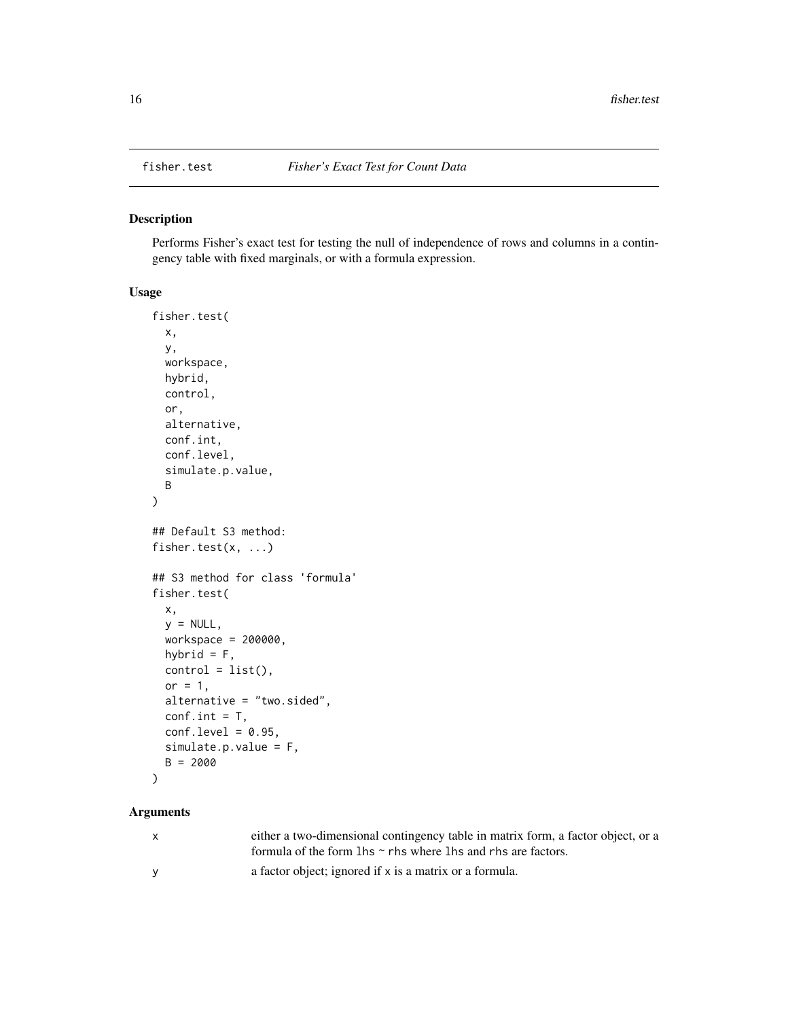<span id="page-15-0"></span>

Performs Fisher's exact test for testing the null of independence of rows and columns in a contingency table with fixed marginals, or with a formula expression.

#### Usage

```
fisher.test(
  x,
 y,
 workspace,
 hybrid,
  control,
 or,
  alternative,
 conf.int,
 conf.level,
  simulate.p.value,
 B
)
## Default S3 method:
fisher.test(x, ...)
## S3 method for class 'formula'
fisher.test(
 x,
 y = NULL,workspace = 200000,
 hybrid = F,
 control = list(),or = 1,
  alternative = "two.sided",
  conf.int = T,conf. level = 0.95,simulate.p.value = F,
 B = 2000
)
```
#### Arguments

| X        | either a two-dimensional contingency table in matrix form, a factor object, or a |
|----------|----------------------------------------------------------------------------------|
|          | formula of the form $\ln s \sim r$ hs where $\ln s$ and rhs are factors.         |
| <b>V</b> | a factor object; ignored if x is a matrix or a formula.                          |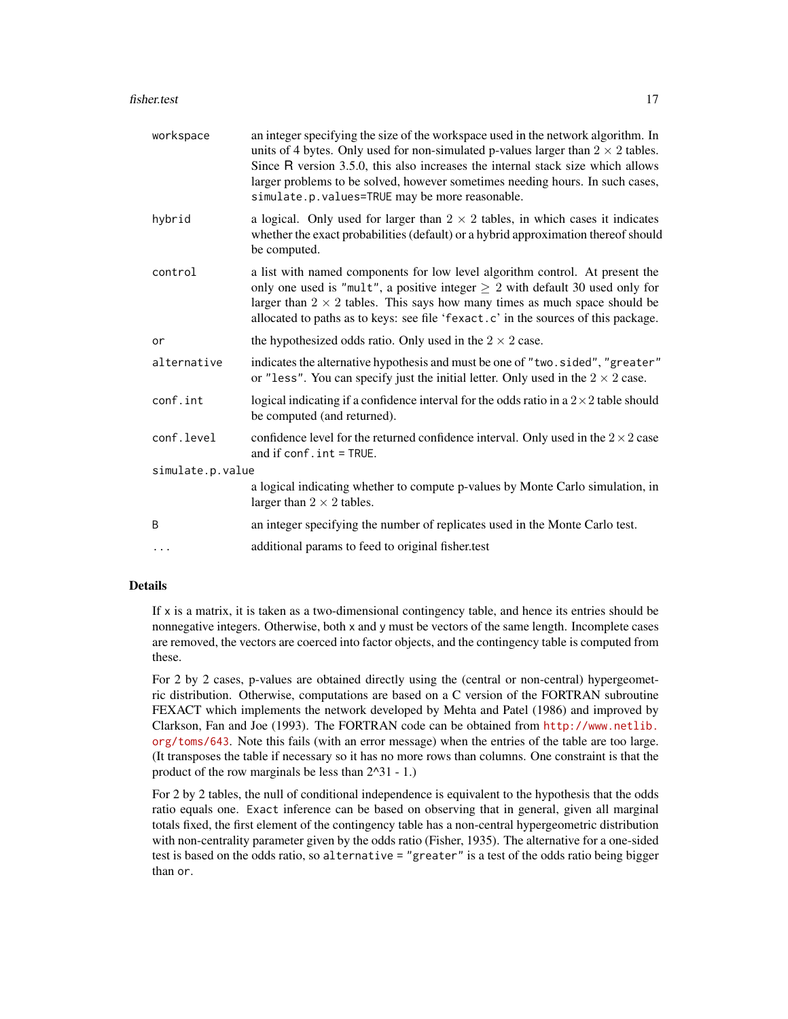| workspace        | an integer specifying the size of the workspace used in the network algorithm. In<br>units of 4 bytes. Only used for non-simulated p-values larger than $2 \times 2$ tables.<br>Since R version 3.5.0, this also increases the internal stack size which allows<br>larger problems to be solved, however sometimes needing hours. In such cases,<br>simulate.p.values=TRUE may be more reasonable. |
|------------------|----------------------------------------------------------------------------------------------------------------------------------------------------------------------------------------------------------------------------------------------------------------------------------------------------------------------------------------------------------------------------------------------------|
| hybrid           | a logical. Only used for larger than $2 \times 2$ tables, in which cases it indicates<br>whether the exact probabilities (default) or a hybrid approximation thereof should<br>be computed.                                                                                                                                                                                                        |
| control          | a list with named components for low level algorithm control. At present the<br>only one used is "mult", a positive integer $\geq 2$ with default 30 used only for<br>larger than $2 \times 2$ tables. This says how many times as much space should be<br>allocated to paths as to keys: see file 'fexact.c' in the sources of this package.                                                      |
| or               | the hypothesized odds ratio. Only used in the $2 \times 2$ case.                                                                                                                                                                                                                                                                                                                                   |
| alternative      | indicates the alternative hypothesis and must be one of "two.sided", "greater"<br>or "less". You can specify just the initial letter. Only used in the $2 \times 2$ case.                                                                                                                                                                                                                          |
| conf.int         | logical indicating if a confidence interval for the odds ratio in a $2 \times 2$ table should<br>be computed (and returned).                                                                                                                                                                                                                                                                       |
| conf.level       | confidence level for the returned confidence interval. Only used in the $2 \times 2$ case<br>and if conf.int = TRUE.                                                                                                                                                                                                                                                                               |
| simulate.p.value |                                                                                                                                                                                                                                                                                                                                                                                                    |
|                  | a logical indicating whether to compute p-values by Monte Carlo simulation, in<br>larger than $2 \times 2$ tables.                                                                                                                                                                                                                                                                                 |
| B                | an integer specifying the number of replicates used in the Monte Carlo test.                                                                                                                                                                                                                                                                                                                       |
| $\cdots$         | additional params to feed to original fisher.test                                                                                                                                                                                                                                                                                                                                                  |

#### Details

If  $x$  is a matrix, it is taken as a two-dimensional contingency table, and hence its entries should be nonnegative integers. Otherwise, both x and y must be vectors of the same length. Incomplete cases are removed, the vectors are coerced into factor objects, and the contingency table is computed from these.

For 2 by 2 cases, p-values are obtained directly using the (central or non-central) hypergeometric distribution. Otherwise, computations are based on a C version of the FORTRAN subroutine FEXACT which implements the network developed by Mehta and Patel (1986) and improved by Clarkson, Fan and Joe (1993). The FORTRAN code can be obtained from [http://www.netlib.](http://www.netlib.org/toms/643) [org/toms/643](http://www.netlib.org/toms/643). Note this fails (with an error message) when the entries of the table are too large. (It transposes the table if necessary so it has no more rows than columns. One constraint is that the product of the row marginals be less than 2^31 - 1.)

For 2 by 2 tables, the null of conditional independence is equivalent to the hypothesis that the odds ratio equals one. Exact inference can be based on observing that in general, given all marginal totals fixed, the first element of the contingency table has a non-central hypergeometric distribution with non-centrality parameter given by the odds ratio (Fisher, 1935). The alternative for a one-sided test is based on the odds ratio, so alternative = "greater" is a test of the odds ratio being bigger than or.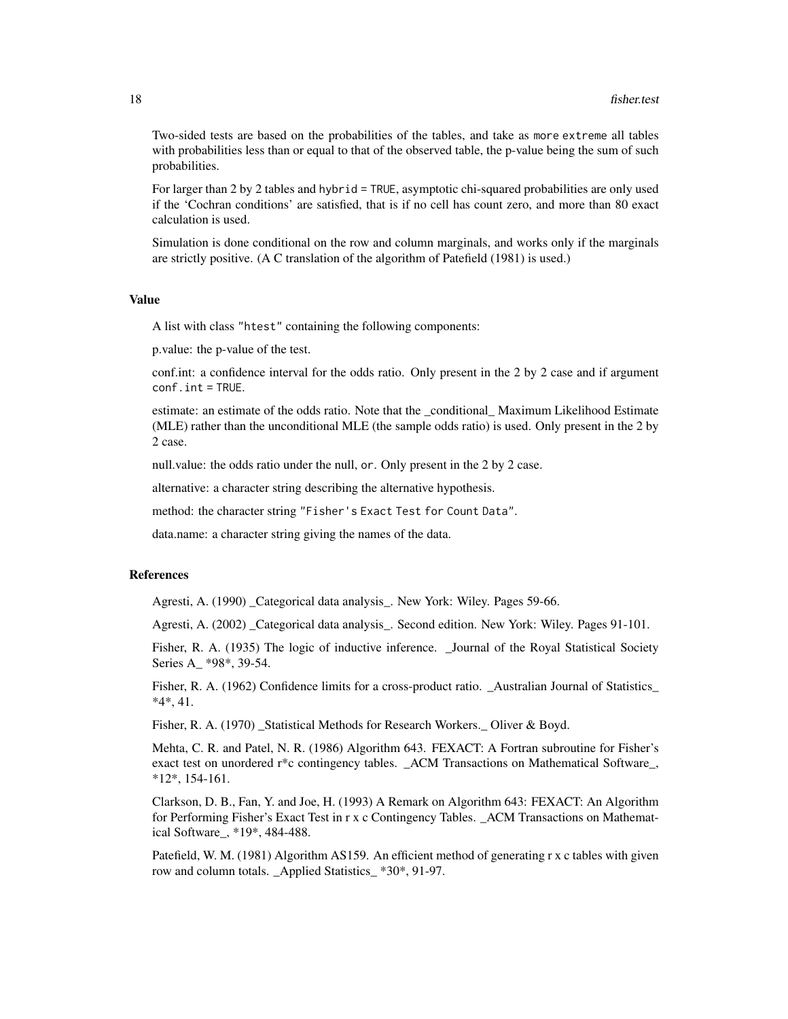Two-sided tests are based on the probabilities of the tables, and take as more extreme all tables with probabilities less than or equal to that of the observed table, the p-value being the sum of such probabilities.

For larger than 2 by 2 tables and hybrid = TRUE, asymptotic chi-squared probabilities are only used if the 'Cochran conditions' are satisfied, that is if no cell has count zero, and more than 80 exact calculation is used.

Simulation is done conditional on the row and column marginals, and works only if the marginals are strictly positive. (A C translation of the algorithm of Patefield (1981) is used.)

#### Value

A list with class "htest" containing the following components:

p.value: the p-value of the test.

conf.int: a confidence interval for the odds ratio. Only present in the 2 by 2 case and if argument conf.int = TRUE.

estimate: an estimate of the odds ratio. Note that the \_conditional\_ Maximum Likelihood Estimate (MLE) rather than the unconditional MLE (the sample odds ratio) is used. Only present in the 2 by 2 case.

null.value: the odds ratio under the null, or. Only present in the 2 by 2 case.

alternative: a character string describing the alternative hypothesis.

method: the character string "Fisher's Exact Test for Count Data".

data.name: a character string giving the names of the data.

# References

Agresti, A. (1990) \_Categorical data analysis\_. New York: Wiley. Pages 59-66.

Agresti, A. (2002) \_Categorical data analysis\_. Second edition. New York: Wiley. Pages 91-101.

Fisher, R. A. (1935) The logic of inductive inference. \_Journal of the Royal Statistical Society Series A\_ \*98\*, 39-54.

Fisher, R. A. (1962) Confidence limits for a cross-product ratio. \_Australian Journal of Statistics\_ \*4\*, 41.

Fisher, R. A. (1970) \_Statistical Methods for Research Workers.\_ Oliver & Boyd.

Mehta, C. R. and Patel, N. R. (1986) Algorithm 643. FEXACT: A Fortran subroutine for Fisher's exact test on unordered r\*c contingency tables. \_ACM Transactions on Mathematical Software\_, \*12\*, 154-161.

Clarkson, D. B., Fan, Y. and Joe, H. (1993) A Remark on Algorithm 643: FEXACT: An Algorithm for Performing Fisher's Exact Test in r x c Contingency Tables. \_ACM Transactions on Mathematical Software\_, \*19\*, 484-488.

Patefield, W. M. (1981) Algorithm AS159. An efficient method of generating r x c tables with given row and column totals. \_Applied Statistics\_ \*30\*, 91-97.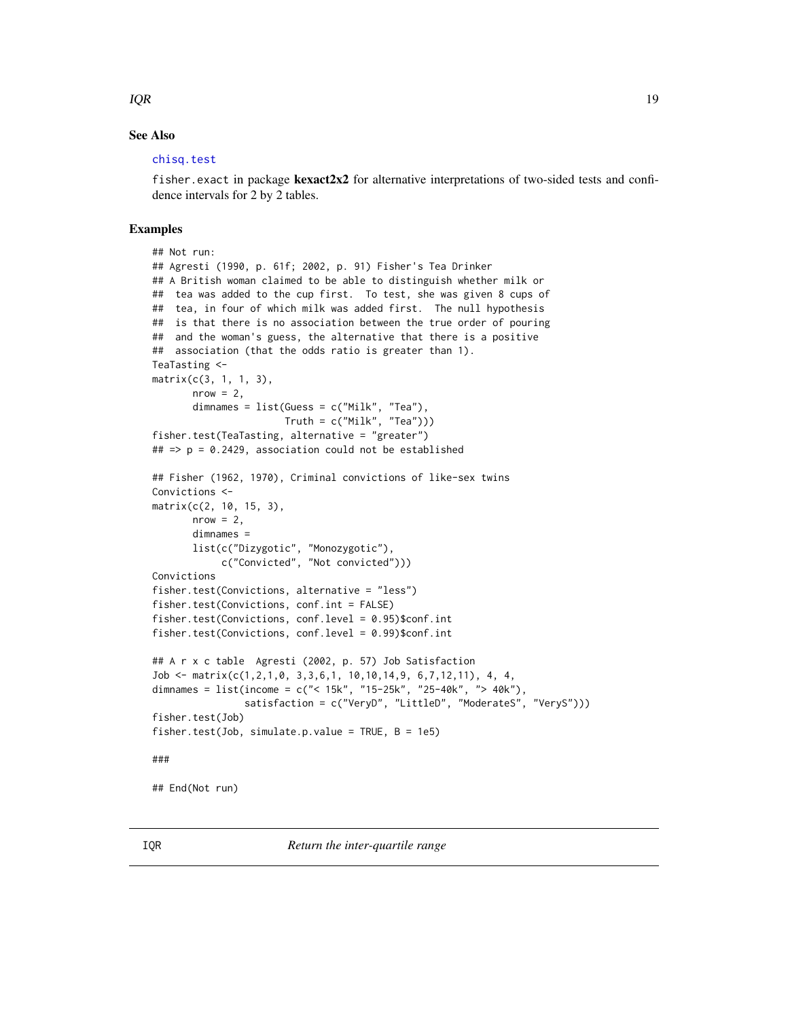#### <span id="page-18-0"></span> $IQR$  and  $IQR$  and  $IQR$  and  $IQR$  and  $IQR$  and  $IQR$  and  $IQR$  and  $IQR$  and  $IQR$  and  $IQR$  and  $IQR$  and  $IQR$  and  $IQR$  and  $IQR$  and  $IQR$  and  $IQR$  and  $IQR$  and  $IQR$  and  $IQR$  and  $IQR$  and  $IQR$  and  $IQR$  and  $IQR$  and  $IQR$  and  $IQR$

# See Also

#### [chisq.test](#page-2-1)

fisher. exact in package **kexact2x2** for alternative interpretations of two-sided tests and confidence intervals for 2 by 2 tables.

```
## Not run:
## Agresti (1990, p. 61f; 2002, p. 91) Fisher's Tea Drinker
## A British woman claimed to be able to distinguish whether milk or
## tea was added to the cup first. To test, she was given 8 cups of
## tea, in four of which milk was added first. The null hypothesis
## is that there is no association between the true order of pouring
## and the woman's guess, the alternative that there is a positive
## association (that the odds ratio is greater than 1).
TeaTasting <-
matrix(c(3, 1, 1, 3),
       nrow = 2,
       dimnames = list(Guess = c("Milk", "Tea"),
                       T = c("Milk", "Tea"))fisher.test(TeaTasting, alternative = "greater")
## => p = 0.2429, association could not be established
## Fisher (1962, 1970), Criminal convictions of like-sex twins
Convictions <-
matrix(c(2, 10, 15, 3),
      nrow = 2.
       dimnames =
       list(c("Dizygotic", "Monozygotic"),
            c("Convicted", "Not convicted")))
Convictions
fisher.test(Convictions, alternative = "less")
fisher.test(Convictions, conf.int = FALSE)
fisher.test(Convictions, conf.level = 0.95)$conf.int
fisher.test(Convictions, conf.level = 0.99)$conf.int
## A r x c table Agresti (2002, p. 57) Job Satisfaction
Job <- matrix(c(1,2,1,0, 3,3,6,1, 10,10,14,9, 6,7,12,11), 4, 4,
dimnames = list(income = c("< 15k", "15-25k", "25-40k", "> 40k"),
                satisfaction = c("VeryD", "LittleD", "ModerateS", "VeryS")))
fisher.test(Job)
fisher.test(Job, simulate.p.value = TRUE, B = 1e5)
###
## End(Not run)
```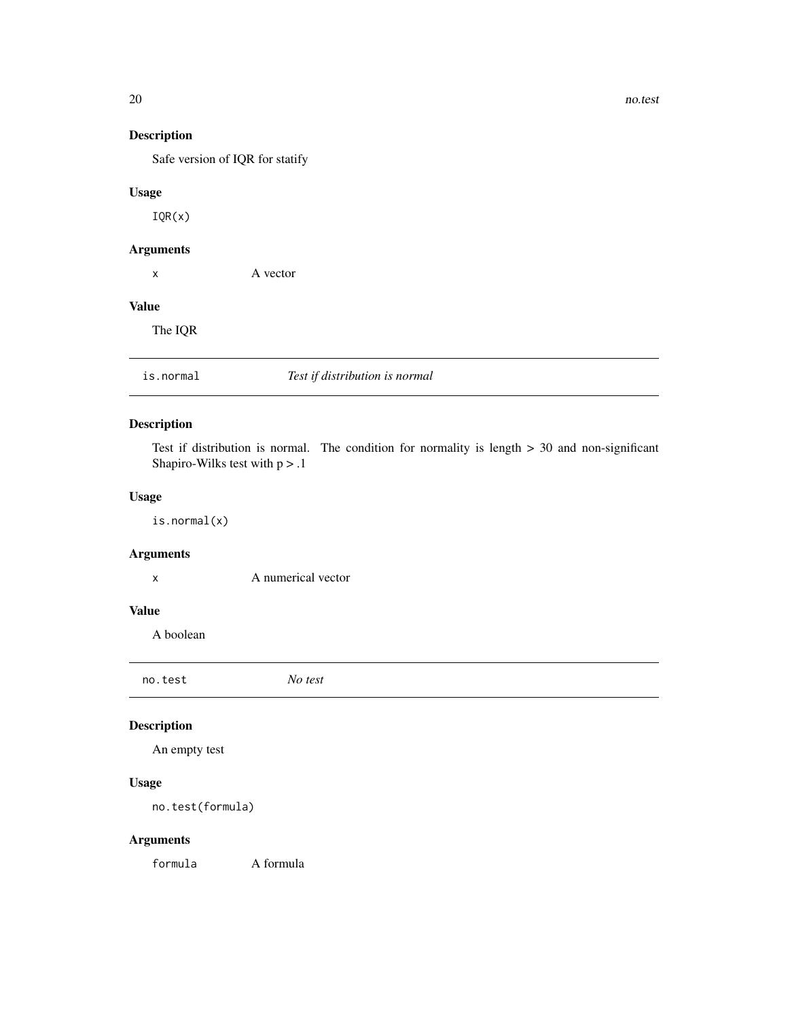20 no.test

# Description

Safe version of IQR for statify

# Usage

IQR(x)

# Arguments

x A vector

#### Value

The IQR

# is.normal *Test if distribution is normal*

# Description

Test if distribution is normal. The condition for normality is length > 30 and non-significant Shapiro-Wilks test with  $p > 0.1$ 

# Usage

is.normal(x)

# Arguments

x A numerical vector

# Value

A boolean

<span id="page-19-1"></span>no.test *No test*

# Description

An empty test

# Usage

no.test(formula)

# Arguments

formula A formula

<span id="page-19-0"></span>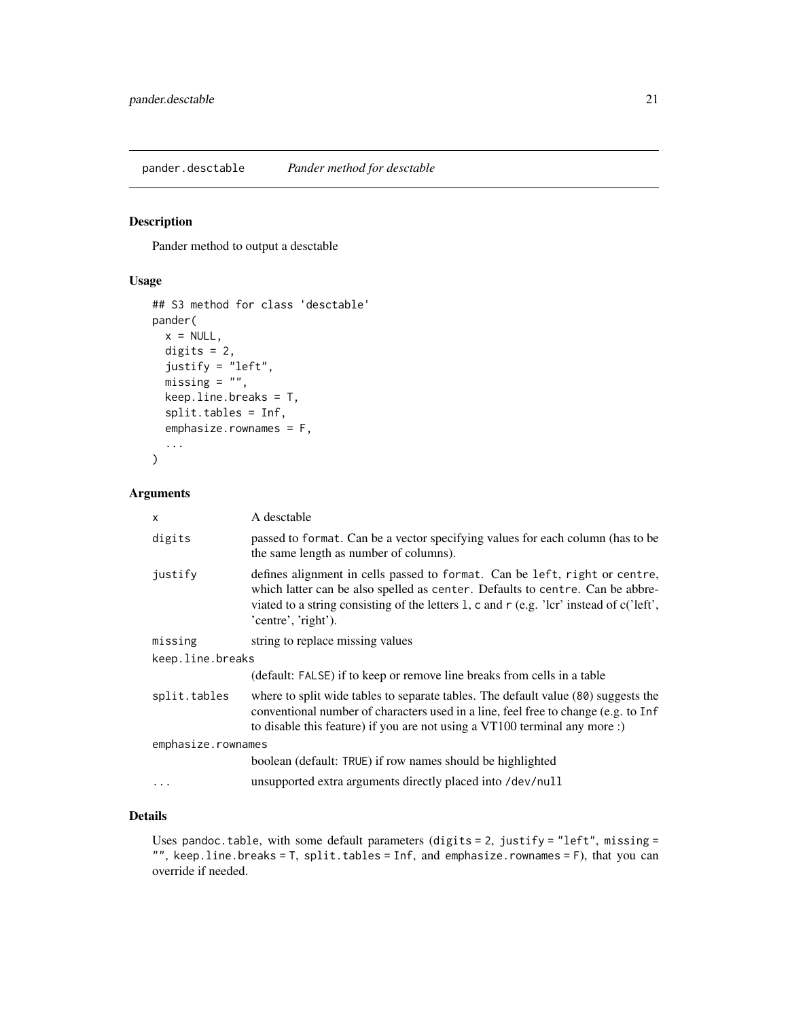<span id="page-20-1"></span><span id="page-20-0"></span>Pander method to output a desctable

# Usage

```
## S3 method for class 'desctable'
pander(
 x = NULL,digits = 2,
  justify = ileft",
 missing = ",
 keep.line.breaks = T,
  split.tables = Inf,
  emphasize.rownames = F,
  ...
)
```
#### Arguments

| $\mathsf{x}$       | A desctable                                                                                                                                                                                                                                                                    |  |
|--------------------|--------------------------------------------------------------------------------------------------------------------------------------------------------------------------------------------------------------------------------------------------------------------------------|--|
| digits             | passed to format. Can be a vector specifying values for each column (has to be<br>the same length as number of columns).                                                                                                                                                       |  |
| justify            | defines alignment in cells passed to format. Can be left, right or centre,<br>which latter can be also spelled as center. Defaults to centre. Can be abbre-<br>viated to a string consisting of the letters 1, c and r (e.g. 'lcr' instead of c('left',<br>'centre', 'right'). |  |
| missing            | string to replace missing values                                                                                                                                                                                                                                               |  |
| keep.line.breaks   |                                                                                                                                                                                                                                                                                |  |
|                    | (default: FALSE) if to keep or remove line breaks from cells in a table                                                                                                                                                                                                        |  |
| split.tables       | where to split wide tables to separate tables. The default value (80) suggests the<br>conventional number of characters used in a line, feel free to change (e.g. to Inf<br>to disable this feature) if you are not using a VT100 terminal any more :)                         |  |
| emphasize.rownames |                                                                                                                                                                                                                                                                                |  |
|                    | boolean (default: TRUE) if row names should be highlighted                                                                                                                                                                                                                     |  |
| $\ddotsc$          | unsupported extra arguments directly placed into /dev/null                                                                                                                                                                                                                     |  |

#### Details

Uses pandoc.table, with some default parameters (digits = 2, justify = "left", missing = "", keep.line.breaks = T, split.tables = Inf, and emphasize.rownames = F), that you can override if needed.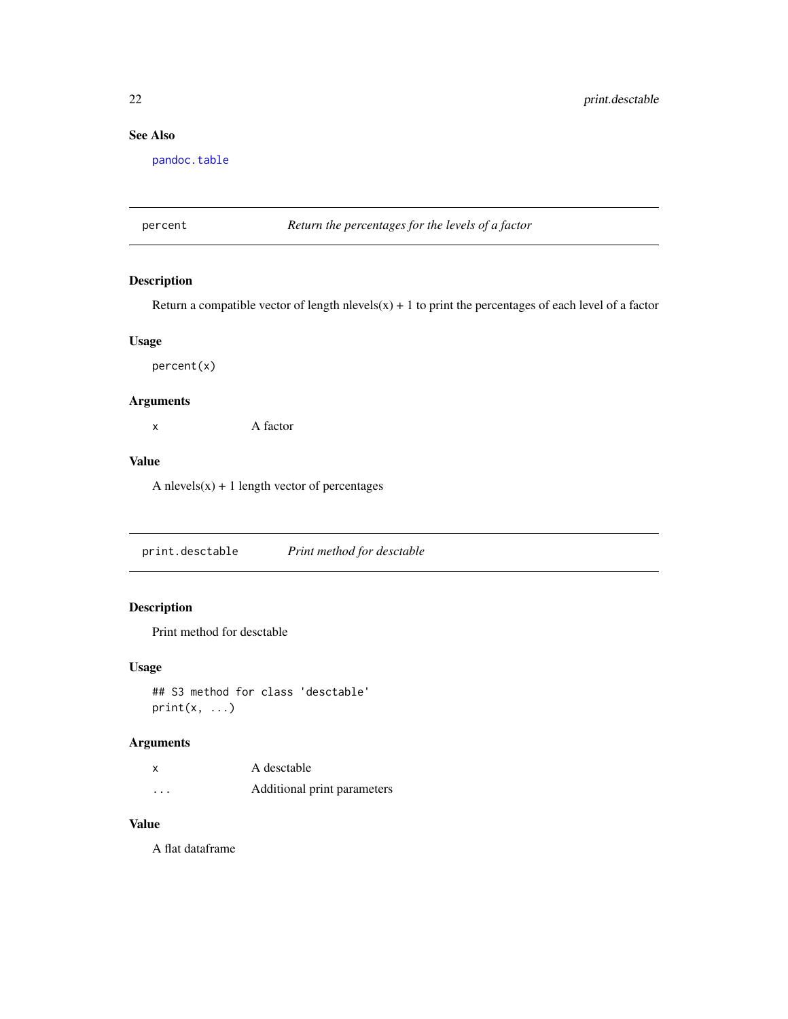# <span id="page-21-0"></span>See Also

[pandoc.table](#page-0-0)

<span id="page-21-2"></span>percent *Return the percentages for the levels of a factor*

# Description

Return a compatible vector of length nlevels( $x$ ) + 1 to print the percentages of each level of a factor

#### Usage

percent(x)

#### Arguments

x A factor

# Value

A nlevels $(x) + 1$  length vector of percentages

<span id="page-21-1"></span>print.desctable *Print method for desctable*

# Description

Print method for desctable

# Usage

```
## S3 method for class 'desctable'
print(x, \ldots)
```
# Arguments

|          | A desctable                 |
|----------|-----------------------------|
| $\cdots$ | Additional print parameters |

# Value

A flat dataframe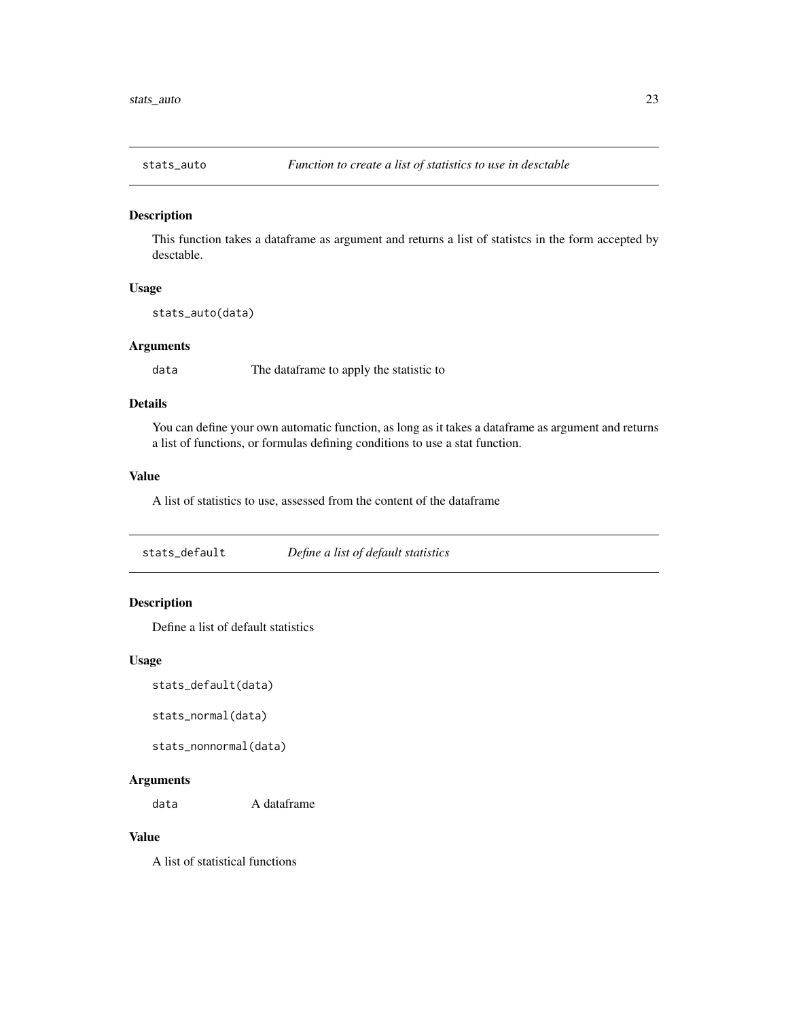<span id="page-22-1"></span><span id="page-22-0"></span>

This function takes a dataframe as argument and returns a list of statistcs in the form accepted by desctable.

#### Usage

stats\_auto(data)

# Arguments

data The dataframe to apply the statistic to

# Details

You can define your own automatic function, as long as it takes a dataframe as argument and returns a list of functions, or formulas defining conditions to use a stat function.

#### Value

A list of statistics to use, assessed from the content of the dataframe

stats\_default *Define a list of default statistics*

# Description

Define a list of default statistics

#### Usage

stats\_default(data)

stats\_normal(data)

stats\_nonnormal(data)

#### Arguments

data A dataframe

# Value

A list of statistical functions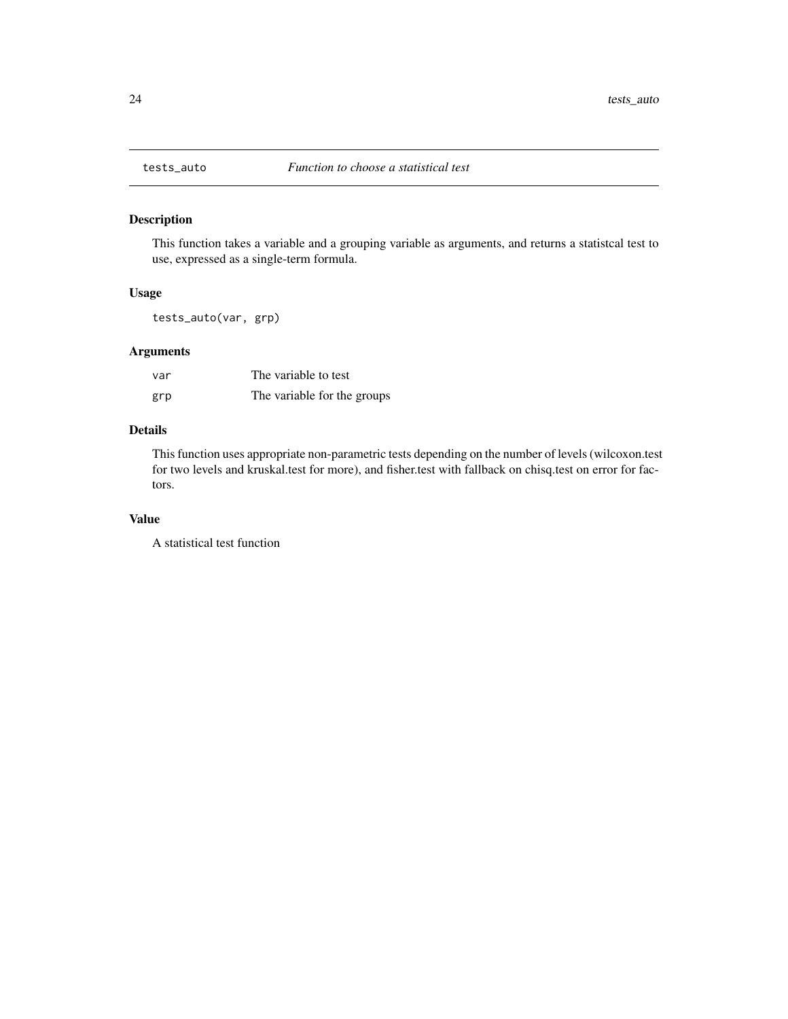<span id="page-23-1"></span><span id="page-23-0"></span>

This function takes a variable and a grouping variable as arguments, and returns a statistcal test to use, expressed as a single-term formula.

### Usage

tests\_auto(var, grp)

# Arguments

| var | The variable to test        |
|-----|-----------------------------|
| grp | The variable for the groups |

# Details

This function uses appropriate non-parametric tests depending on the number of levels (wilcoxon.test for two levels and kruskal.test for more), and fisher.test with fallback on chisq.test on error for factors.

# Value

A statistical test function